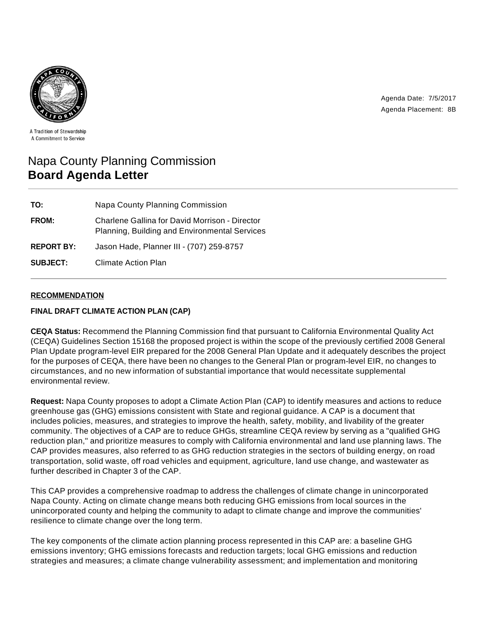Agenda Date: 7/5/2017 Agenda Placement: 8B



A Tradition of Stewardship A Commitment to Service

# Napa County Planning Commission **Board Agenda Letter**

| TO:               | <b>Napa County Planning Commission</b>                                                                 |
|-------------------|--------------------------------------------------------------------------------------------------------|
| <b>FROM:</b>      | <b>Charlene Gallina for David Morrison - Director</b><br>Planning, Building and Environmental Services |
| <b>REPORT BY:</b> | Jason Hade, Planner III - (707) 259-8757                                                               |
| <b>SUBJECT:</b>   | Climate Action Plan                                                                                    |

## **RECOMMENDATION**

#### **FINAL DRAFT CLIMATE ACTION PLAN (CAP)**

**CEQA Status:** Recommend the Planning Commission find that pursuant to California Environmental Quality Act (CEQA) Guidelines Section 15168 the proposed project is within the scope of the previously certified 2008 General Plan Update program-level EIR prepared for the 2008 General Plan Update and it adequately describes the project for the purposes of CEQA, there have been no changes to the General Plan or program-level EIR, no changes to circumstances, and no new information of substantial importance that would necessitate supplemental environmental review.

**Request:** Napa County proposes to adopt a Climate Action Plan (CAP) to identify measures and actions to reduce greenhouse gas (GHG) emissions consistent with State and regional guidance. A CAP is a document that includes policies, measures, and strategies to improve the health, safety, mobility, and livability of the greater community. The objectives of a CAP are to reduce GHGs, streamline CEQA review by serving as a "qualified GHG reduction plan," and prioritize measures to comply with California environmental and land use planning laws. The CAP provides measures, also referred to as GHG reduction strategies in the sectors of building energy, on road transportation, solid waste, off road vehicles and equipment, agriculture, land use change, and wastewater as further described in Chapter 3 of the CAP.

This CAP provides a comprehensive roadmap to address the challenges of climate change in unincorporated Napa County. Acting on climate change means both reducing GHG emissions from local sources in the unincorporated county and helping the community to adapt to climate change and improve the communities' resilience to climate change over the long term.

The key components of the climate action planning process represented in this CAP are: a baseline GHG emissions inventory; GHG emissions forecasts and reduction targets; local GHG emissions and reduction strategies and measures; a climate change vulnerability assessment; and implementation and monitoring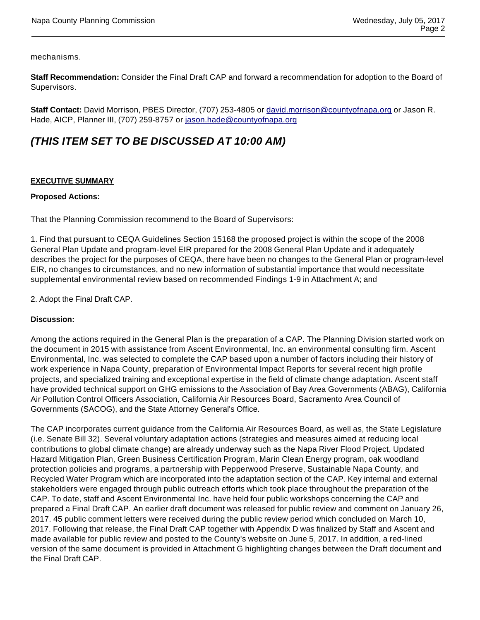mechanisms.

**Staff Recommendation:** Consider the Final Draft CAP and forward a recommendation for adoption to the Board of Supervisors.

**Staff Contact:** David Morrison, PBES Director, (707) 253-4805 or david.morrison@countyofnapa.org or Jason R. Hade, AICP, Planner III, (707) 259-8757 or jason.hade@countyofnapa.org

# **(THIS ITEM SET TO BE DISCUSSED AT 10:00 AM)**

#### **EXECUTIVE SUMMARY**

#### **Proposed Actions:**

That the Planning Commission recommend to the Board of Supervisors:

1. Find that pursuant to CEQA Guidelines Section 15168 the proposed project is within the scope of the 2008 General Plan Update and program-level EIR prepared for the 2008 General Plan Update and it adequately describes the project for the purposes of CEQA, there have been no changes to the General Plan or program-level EIR, no changes to circumstances, and no new information of substantial importance that would necessitate supplemental environmental review based on recommended Findings 1-9 in Attachment A; and

2. Adopt the Final Draft CAP.

#### **Discussion:**

Among the actions required in the General Plan is the preparation of a CAP. The Planning Division started work on the document in 2015 with assistance from Ascent Environmental, Inc. an environmental consulting firm. Ascent Environmental, Inc. was selected to complete the CAP based upon a number of factors including their history of work experience in Napa County, preparation of Environmental Impact Reports for several recent high profile projects, and specialized training and exceptional expertise in the field of climate change adaptation. Ascent staff have provided technical support on GHG emissions to the Association of Bay Area Governments (ABAG), California Air Pollution Control Officers Association, California Air Resources Board, Sacramento Area Council of Governments (SACOG), and the State Attorney General's Office.

The CAP incorporates current guidance from the California Air Resources Board, as well as, the State Legislature (i.e. Senate Bill 32). Several voluntary adaptation actions (strategies and measures aimed at reducing local contributions to global climate change) are already underway such as the Napa River Flood Project, Updated Hazard Mitigation Plan, Green Business Certification Program, Marin Clean Energy program, oak woodland protection policies and programs, a partnership with Pepperwood Preserve, Sustainable Napa County, and Recycled Water Program which are incorporated into the adaptation section of the CAP. Key internal and external stakeholders were engaged through public outreach efforts which took place throughout the preparation of the CAP. To date, staff and Ascent Environmental Inc. have held four public workshops concerning the CAP and prepared a Final Draft CAP. An earlier draft document was released for public review and comment on January 26, 2017. 45 public comment letters were received during the public review period which concluded on March 10, 2017. Following that release, the Final Draft CAP together with Appendix D was finalized by Staff and Ascent and made available for public review and posted to the County's website on June 5, 2017. In addition, a red-lined version of the same document is provided in Attachment G highlighting changes between the Draft document and the Final Draft CAP.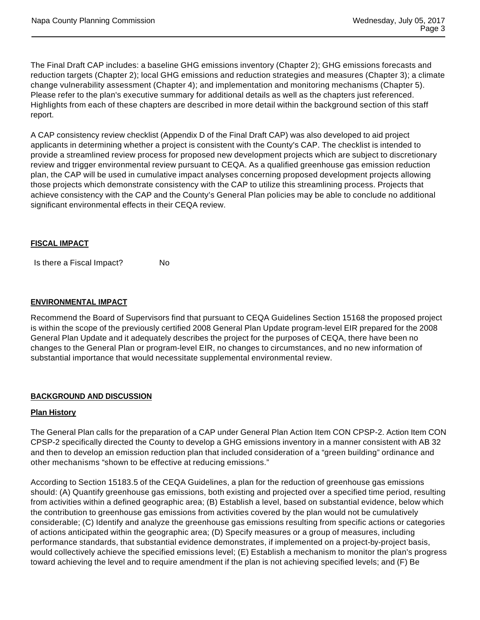The Final Draft CAP includes: a baseline GHG emissions inventory (Chapter 2); GHG emissions forecasts and reduction targets (Chapter 2); local GHG emissions and reduction strategies and measures (Chapter 3); a climate change vulnerability assessment (Chapter 4); and implementation and monitoring mechanisms (Chapter 5). Please refer to the plan's executive summary for additional details as well as the chapters just referenced. Highlights from each of these chapters are described in more detail within the background section of this staff report.

A CAP consistency review checklist (Appendix D of the Final Draft CAP) was also developed to aid project applicants in determining whether a project is consistent with the County's CAP. The checklist is intended to provide a streamlined review process for proposed new development projects which are subject to discretionary review and trigger environmental review pursuant to CEQA. As a qualified greenhouse gas emission reduction plan, the CAP will be used in cumulative impact analyses concerning proposed development projects allowing those projects which demonstrate consistency with the CAP to utilize this streamlining process. Projects that achieve consistency with the CAP and the County's General Plan policies may be able to conclude no additional significant environmental effects in their CEQA review.

#### **FISCAL IMPACT**

Is there a Fiscal Impact? No

#### **ENVIRONMENTAL IMPACT**

Recommend the Board of Supervisors find that pursuant to CEQA Guidelines Section 15168 the proposed project is within the scope of the previously certified 2008 General Plan Update program-level EIR prepared for the 2008 General Plan Update and it adequately describes the project for the purposes of CEQA, there have been no changes to the General Plan or program-level EIR, no changes to circumstances, and no new information of substantial importance that would necessitate supplemental environmental review.

#### **BACKGROUND AND DISCUSSION**

#### **Plan History**

The General Plan calls for the preparation of a CAP under General Plan Action Item CON CPSP-2. Action Item CON CPSP-2 specifically directed the County to develop a GHG emissions inventory in a manner consistent with AB 32 and then to develop an emission reduction plan that included consideration of a "green building" ordinance and other mechanisms "shown to be effective at reducing emissions."

According to Section 15183.5 of the CEQA Guidelines, a plan for the reduction of greenhouse gas emissions should: (A) Quantify greenhouse gas emissions, both existing and projected over a specified time period, resulting from activities within a defined geographic area; (B) Establish a level, based on substantial evidence, below which the contribution to greenhouse gas emissions from activities covered by the plan would not be cumulatively considerable; (C) Identify and analyze the greenhouse gas emissions resulting from specific actions or categories of actions anticipated within the geographic area; (D) Specify measures or a group of measures, including performance standards, that substantial evidence demonstrates, if implemented on a project-by-project basis, would collectively achieve the specified emissions level; (E) Establish a mechanism to monitor the plan's progress toward achieving the level and to require amendment if the plan is not achieving specified levels; and (F) Be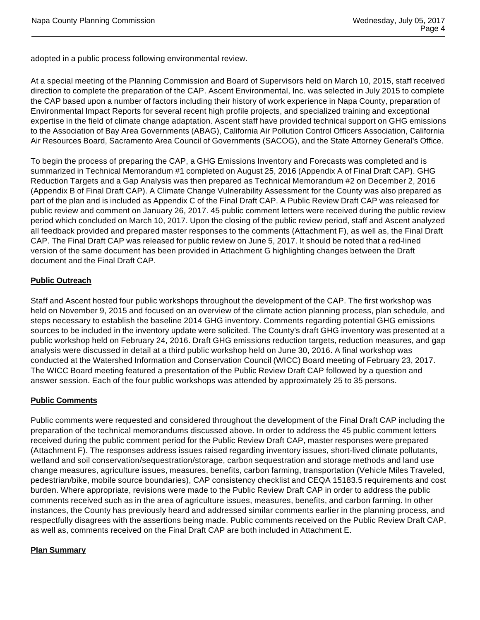adopted in a public process following environmental review.

At a special meeting of the Planning Commission and Board of Supervisors held on March 10, 2015, staff received direction to complete the preparation of the CAP. Ascent Environmental, Inc. was selected in July 2015 to complete the CAP based upon a number of factors including their history of work experience in Napa County, preparation of Environmental Impact Reports for several recent high profile projects, and specialized training and exceptional expertise in the field of climate change adaptation. Ascent staff have provided technical support on GHG emissions to the Association of Bay Area Governments (ABAG), California Air Pollution Control Officers Association, California Air Resources Board, Sacramento Area Council of Governments (SACOG), and the State Attorney General's Office.

To begin the process of preparing the CAP, a GHG Emissions Inventory and Forecasts was completed and is summarized in Technical Memorandum #1 completed on August 25, 2016 (Appendix A of Final Draft CAP). GHG Reduction Targets and a Gap Analysis was then prepared as Technical Memorandum #2 on December 2, 2016 (Appendix B of Final Draft CAP). A Climate Change Vulnerability Assessment for the County was also prepared as part of the plan and is included as Appendix C of the Final Draft CAP. A Public Review Draft CAP was released for public review and comment on January 26, 2017. 45 public comment letters were received during the public review period which concluded on March 10, 2017. Upon the closing of the public review period, staff and Ascent analyzed all feedback provided and prepared master responses to the comments (Attachment F), as well as, the Final Draft CAP. The Final Draft CAP was released for public review on June 5, 2017. It should be noted that a red-lined version of the same document has been provided in Attachment G highlighting changes between the Draft document and the Final Draft CAP.

## **Public Outreach**

Staff and Ascent hosted four public workshops throughout the development of the CAP. The first workshop was held on November 9, 2015 and focused on an overview of the climate action planning process, plan schedule, and steps necessary to establish the baseline 2014 GHG inventory. Comments regarding potential GHG emissions sources to be included in the inventory update were solicited. The County's draft GHG inventory was presented at a public workshop held on February 24, 2016. Draft GHG emissions reduction targets, reduction measures, and gap analysis were discussed in detail at a third public workshop held on June 30, 2016. A final workshop was conducted at the Watershed Information and Conservation Council (WICC) Board meeting of February 23, 2017. The WICC Board meeting featured a presentation of the Public Review Draft CAP followed by a question and answer session. Each of the four public workshops was attended by approximately 25 to 35 persons.

#### **Public Comments**

Public comments were requested and considered throughout the development of the Final Draft CAP including the preparation of the technical memorandums discussed above. In order to address the 45 public comment letters received during the public comment period for the Public Review Draft CAP, master responses were prepared (Attachment F). The responses address issues raised regarding inventory issues, short-lived climate pollutants, wetland and soil conservation/sequestration/storage, carbon sequestration and storage methods and land use change measures, agriculture issues, measures, benefits, carbon farming, transportation (Vehicle Miles Traveled, pedestrian/bike, mobile source boundaries), CAP consistency checklist and CEQA 15183.5 requirements and cost burden. Where appropriate, revisions were made to the Public Review Draft CAP in order to address the public comments received such as in the area of agriculture issues, measures, benefits, and carbon farming. In other instances, the County has previously heard and addressed similar comments earlier in the planning process, and respectfully disagrees with the assertions being made. Public comments received on the Public Review Draft CAP, as well as, comments received on the Final Draft CAP are both included in Attachment E.

#### **Plan Summary**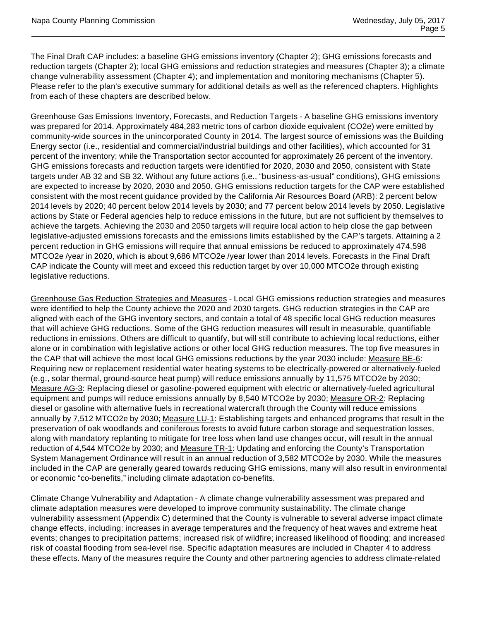The Final Draft CAP includes: a baseline GHG emissions inventory (Chapter 2); GHG emissions forecasts and reduction targets (Chapter 2); local GHG emissions and reduction strategies and measures (Chapter 3); a climate change vulnerability assessment (Chapter 4); and implementation and monitoring mechanisms (Chapter 5). Please refer to the plan's executive summary for additional details as well as the referenced chapters. Highlights from each of these chapters are described below.

Greenhouse Gas Emissions Inventory, Forecasts, and Reduction Targets - A baseline GHG emissions inventory was prepared for 2014. Approximately 484,283 metric tons of carbon dioxide equivalent (CO2e) were emitted by community-wide sources in the unincorporated County in 2014. The largest source of emissions was the Building Energy sector (i.e., residential and commercial/industrial buildings and other facilities), which accounted for 31 percent of the inventory; while the Transportation sector accounted for approximately 26 percent of the inventory. GHG emissions forecasts and reduction targets were identified for 2020, 2030 and 2050, consistent with State targets under AB 32 and SB 32. Without any future actions (i.e., "business-as-usual" conditions), GHG emissions are expected to increase by 2020, 2030 and 2050. GHG emissions reduction targets for the CAP were established consistent with the most recent guidance provided by the California Air Resources Board (ARB): 2 percent below 2014 levels by 2020; 40 percent below 2014 levels by 2030; and 77 percent below 2014 levels by 2050. Legislative actions by State or Federal agencies help to reduce emissions in the future, but are not sufficient by themselves to achieve the targets. Achieving the 2030 and 2050 targets will require local action to help close the gap between legislative-adjusted emissions forecasts and the emissions limits established by the CAP's targets. Attaining a 2 percent reduction in GHG emissions will require that annual emissions be reduced to approximately 474,598 MTCO2e /year in 2020, which is about 9,686 MTCO2e /year lower than 2014 levels. Forecasts in the Final Draft CAP indicate the County will meet and exceed this reduction target by over 10,000 MTCO2e through existing legislative reductions.

Greenhouse Gas Reduction Strategies and Measures - Local GHG emissions reduction strategies and measures were identified to help the County achieve the 2020 and 2030 targets. GHG reduction strategies in the CAP are aligned with each of the GHG inventory sectors, and contain a total of 48 specific local GHG reduction measures that will achieve GHG reductions. Some of the GHG reduction measures will result in measurable, quantifiable reductions in emissions. Others are difficult to quantify, but will still contribute to achieving local reductions, either alone or in combination with legislative actions or other local GHG reduction measures. The top five measures in the CAP that will achieve the most local GHG emissions reductions by the year 2030 include: Measure BE-6: Requiring new or replacement residential water heating systems to be electrically-powered or alternatively-fueled (e.g., solar thermal, ground-source heat pump) will reduce emissions annually by 11,575 MTCO2e by 2030; Measure AG-3: Replacing diesel or gasoline-powered equipment with electric or alternatively-fueled agricultural equipment and pumps will reduce emissions annually by 8,540 MTCO2e by 2030; Measure OR-2: Replacing diesel or gasoline with alternative fuels in recreational watercraft through the County will reduce emissions annually by 7,512 MTCO2e by 2030; Measure LU-1: Establishing targets and enhanced programs that result in the preservation of oak woodlands and coniferous forests to avoid future carbon storage and sequestration losses, along with mandatory replanting to mitigate for tree loss when land use changes occur, will result in the annual reduction of 4,544 MTCO2e by 2030; and Measure TR-1: Updating and enforcing the County's Transportation System Management Ordinance will result in an annual reduction of 3,582 MTCO2e by 2030. While the measures included in the CAP are generally geared towards reducing GHG emissions, many will also result in environmental or economic "co-benefits," including climate adaptation co-benefits.

Climate Change Vulnerability and Adaptation - A climate change vulnerability assessment was prepared and climate adaptation measures were developed to improve community sustainability. The climate change vulnerability assessment (Appendix C) determined that the County is vulnerable to several adverse impact climate change effects, including: increases in average temperatures and the frequency of heat waves and extreme heat events; changes to precipitation patterns; increased risk of wildfire; increased likelihood of flooding; and increased risk of coastal flooding from sea-level rise. Specific adaptation measures are included in Chapter 4 to address these effects. Many of the measures require the County and other partnering agencies to address climate-related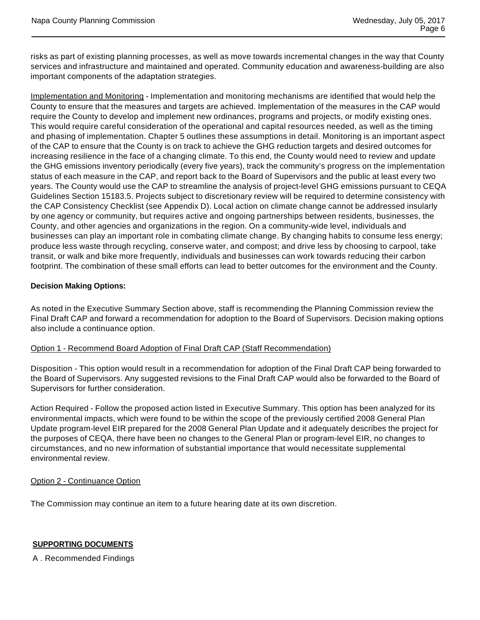risks as part of existing planning processes, as well as move towards incremental changes in the way that County services and infrastructure and maintained and operated. Community education and awareness-building are also important components of the adaptation strategies.

Implementation and Monitoring - Implementation and monitoring mechanisms are identified that would help the County to ensure that the measures and targets are achieved. Implementation of the measures in the CAP would require the County to develop and implement new ordinances, programs and projects, or modify existing ones. This would require careful consideration of the operational and capital resources needed, as well as the timing and phasing of implementation. Chapter 5 outlines these assumptions in detail. Monitoring is an important aspect of the CAP to ensure that the County is on track to achieve the GHG reduction targets and desired outcomes for increasing resilience in the face of a changing climate. To this end, the County would need to review and update the GHG emissions inventory periodically (every five years), track the community's progress on the implementation status of each measure in the CAP, and report back to the Board of Supervisors and the public at least every two years. The County would use the CAP to streamline the analysis of project-level GHG emissions pursuant to CEQA Guidelines Section 15183.5. Projects subject to discretionary review will be required to determine consistency with the CAP Consistency Checklist (see Appendix D). Local action on climate change cannot be addressed insularly by one agency or community, but requires active and ongoing partnerships between residents, businesses, the County, and other agencies and organizations in the region. On a community-wide level, individuals and businesses can play an important role in combating climate change. By changing habits to consume less energy; produce less waste through recycling, conserve water, and compost; and drive less by choosing to carpool, take transit, or walk and bike more frequently, individuals and businesses can work towards reducing their carbon footprint. The combination of these small efforts can lead to better outcomes for the environment and the County.

# **Decision Making Options:**

As noted in the Executive Summary Section above, staff is recommending the Planning Commission review the Final Draft CAP and forward a recommendation for adoption to the Board of Supervisors. Decision making options also include a continuance option.

#### Option 1 - Recommend Board Adoption of Final Draft CAP (Staff Recommendation)

Disposition - This option would result in a recommendation for adoption of the Final Draft CAP being forwarded to the Board of Supervisors. Any suggested revisions to the Final Draft CAP would also be forwarded to the Board of Supervisors for further consideration.

Action Required - Follow the proposed action listed in Executive Summary. This option has been analyzed for its environmental impacts, which were found to be within the scope of the previously certified 2008 General Plan Update program-level EIR prepared for the 2008 General Plan Update and it adequately describes the project for the purposes of CEQA, there have been no changes to the General Plan or program-level EIR, no changes to circumstances, and no new information of substantial importance that would necessitate supplemental environmental review.

#### Option 2 - Continuance Option

The Commission may continue an item to a future hearing date at its own discretion.

# **SUPPORTING DOCUMENTS**

A . Recommended Findings